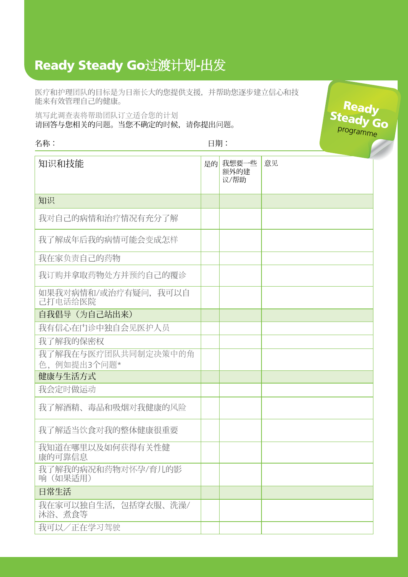## Ready Steady Go过渡计划-出发

医疗和护理团队的目标是为日渐长大的您提供支援,并帮助您逐步建立信心和技 能来有效管理自己的健康。

Read Steady

programme

填写此调查表将帮助团队订立适合您的计划 请回答与您相关的问题。当您不确定的时候,请你提出问题。

名称: 日期: 知识和技能 是的 我想要一些 意见 额外的建 议/帮助 知识 我对自己的病情和治疗情况有充分了解 我了解成年后我的病情可能会变成怎样 我在家负责自己的药物 我订购并拿取药物处方并预约自己的覆诊 如果我对病情和/或治疗有疑问,我可以自 己打电话给医院 自我倡导(为自己站出来) 我有信心在门诊中独自会见医护人员 我了解我的保密权 我了解我在与医疗团队共同制定决策中的角 色,例如提出3个问题\* 健康与生活方式 我会定时做运动 我了解酒精、毒品和吸烟对我健康的风险 我了解适当饮食对我的整体健康很重要 我知道在哪里以及如何获得有关性健 康的可靠信息 我了解我的病况和药物对怀孕/育儿的影 响(如果适用) 日常生活 我在家可以独自生活,包括穿衣服、洗澡/ 沐浴、煮食等 我可以/正在学习驾驶